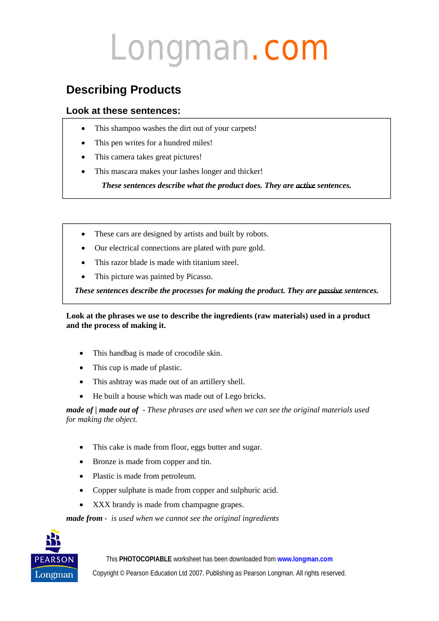### **Describing Products**

### **Look at these sentences:**

- This shampoo washes the dirt out of your carpets!
- This pen writes for a hundred miles!
- This camera takes great pictures!
- This mascara makes your lashes longer and thicker!

*These sentences describe what the product does. They are active sentences.*

- These cars are designed by artists and built by robots.
- Our electrical connections are plated with pure gold.
- This razor blade is made with titanium steel.
- This picture was painted by Picasso.

*These sentences describe the processes for making the product. They are passive sentences.*

#### **Look at the phrases we use to describe the ingredients (raw materials) used in a product and the process of making it.**

- This handbag is made of crocodile skin.
- This cup is made of plastic.
- This ashtray was made out of an artillery shell.
- He built a house which was made out of Lego bricks.

*made of | made out of* - *These phrases are used when we can see the original materials used for making the object.*

- This cake is made from flour, eggs butter and sugar.
- Bronze is made from copper and tin.
- Plastic is made from petroleum.
- Copper sulphate is made from copper and sulphuric acid.
- XXX brandy is made from champagne grapes.

*made from - is used when we cannot see the original ingredients*

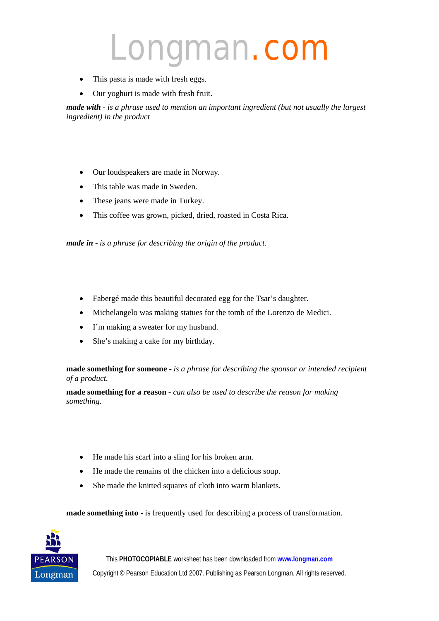- This pasta is made with fresh eggs.
- Our yoghurt is made with fresh fruit.

*made with - is a phrase used to mention an important ingredient (but not usually the largest ingredient) in the product*

- Our loudspeakers are made in Norway.
- This table was made in Sweden.
- These jeans were made in Turkey.
- This coffee was grown, picked, dried, roasted in Costa Rica.

*made in* - *is a phrase for describing the origin of the product.*

- Fabergé made this beautiful decorated egg for the Tsar's daughter.
- Michelangelo was making statues for the tomb of the Lorenzo de Medici.
- I'm making a sweater for my husband.
- She's making a cake for my birthday.

**made something for someone** - *is a phrase for describing the sponsor or intended recipient of a product.*

**made something for a reason** *- can also be used to describe the reason for making something.* 

- He made his scarf into a sling for his broken arm.
- He made the remains of the chicken into a delicious soup.
- She made the knitted squares of cloth into warm blankets.

**made something into** - is frequently used for describing a process of transformation.

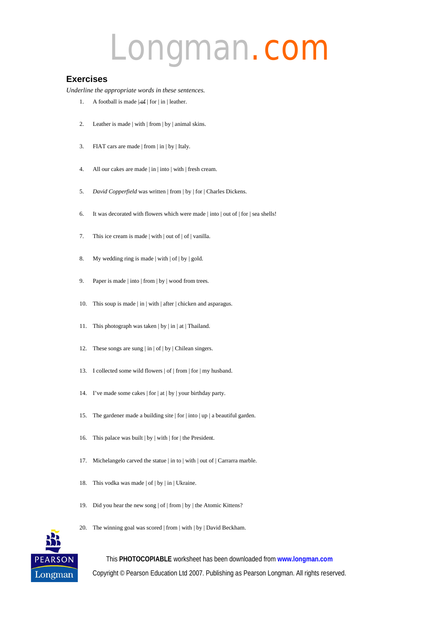#### **Exercises**

*Underline the appropriate words in these sentences.*

- 1. A football is made  $|\text{-of}|$  for  $|\text{in}|$  leather.
- 2. Leather is made | with | from | by | animal skins.
- 3. FIAT cars are made | from | in | by | Italy.
- 4. All our cakes are made | in | into | with | fresh cream.
- 5. *David Copperfield* was written | from | by | for | Charles Dickens.
- 6. It was decorated with flowers which were made | into | out of | for | sea shells!
- 7. This ice cream is made | with | out of | of | vanilla.
- 8. My wedding ring is made | with | of | by | gold.
- 9. Paper is made | into | from | by | wood from trees.
- 10. This soup is made | in | with | after | chicken and asparagus.
- 11. This photograph was taken | by | in | at | Thailand.
- 12. These songs are sung | in | of | by | Chilean singers.
- 13. I collected some wild flowers | of | from | for | my husband.
- 14. I've made some cakes | for | at | by | your birthday party.
- 15. The gardener made a building site | for | into | up | a beautiful garden.
- 16. This palace was built | by | with | for | the President.
- 17. Michelangelo carved the statue | in to | with | out of | Carrarra marble.
- 18. This vodka was made | of | by | in | Ukraine.
- 19. Did you hear the new song | of | from | by | the Atomic Kittens?
- 20. The winning goal was scored | from | with | by | David Beckham.